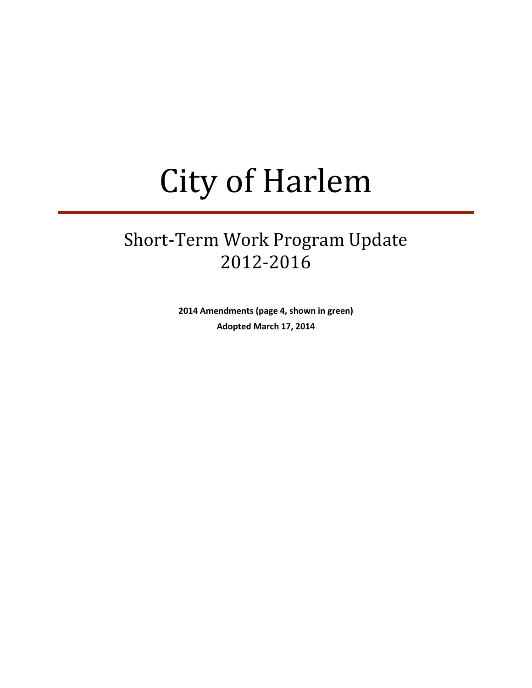# City of Harlem

## Short-Term Work Program Update 2012-2016

**2014 Amendments (page 4, shown in green) Adopted March 17, 2014**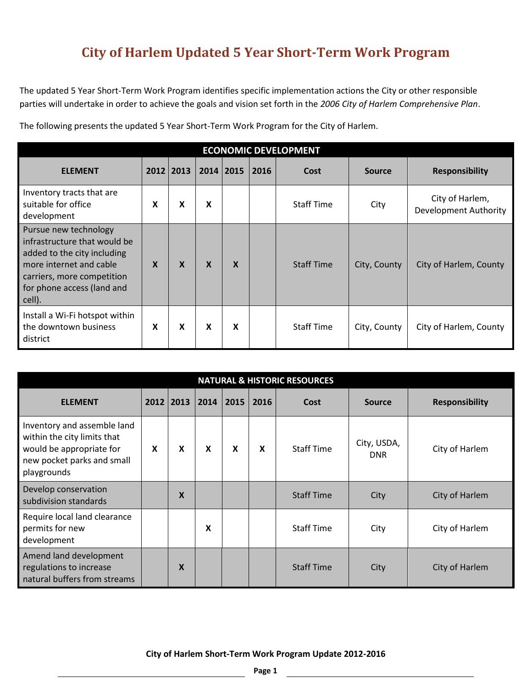## **City of Harlem Updated 5 Year Short-Term Work Program**

The updated 5 Year Short-Term Work Program identifies specific implementation actions the City or other responsible parties will undertake in order to achieve the goals and vision set forth in the *2006 City of Harlem Comprehensive Plan*.

The following presents the updated 5 Year Short-Term Work Program for the City of Harlem.

| <b>ECONOMIC DEVELOPMENT</b>                                                                                                                                                           |                  |   |                           |   |  |                   |              |                                                 |  |  |  |  |
|---------------------------------------------------------------------------------------------------------------------------------------------------------------------------------------|------------------|---|---------------------------|---|--|-------------------|--------------|-------------------------------------------------|--|--|--|--|
| 2012 2013<br>2016<br><b>Responsibility</b><br><b>ELEMENT</b><br>2014   2015<br>Cost<br><b>Source</b>                                                                                  |                  |   |                           |   |  |                   |              |                                                 |  |  |  |  |
| Inventory tracts that are<br>suitable for office<br>development                                                                                                                       | x                | X | X                         |   |  | <b>Staff Time</b> | City         | City of Harlem,<br><b>Development Authority</b> |  |  |  |  |
| Pursue new technology<br>infrastructure that would be<br>added to the city including<br>more internet and cable<br>carriers, more competition<br>for phone access (land and<br>cell). | $\boldsymbol{X}$ | X | $\boldsymbol{\mathsf{x}}$ | X |  | <b>Staff Time</b> | City, County | City of Harlem, County                          |  |  |  |  |
| Install a Wi-Fi hotspot within<br>the downtown business<br>district                                                                                                                   | X                | X | X                         | X |  | <b>Staff Time</b> | City, County | City of Harlem, County                          |  |  |  |  |

| <b>NATURAL &amp; HISTORIC RESOURCES</b>                                                                                             |   |                           |   |                  |   |                   |                           |                |  |  |  |  |
|-------------------------------------------------------------------------------------------------------------------------------------|---|---------------------------|---|------------------|---|-------------------|---------------------------|----------------|--|--|--|--|
| 2013<br>2014<br>2015<br><b>ELEMENT</b><br>2012<br>2016<br><b>Responsibility</b><br>Cost<br><b>Source</b>                            |   |                           |   |                  |   |                   |                           |                |  |  |  |  |
| Inventory and assemble land<br>within the city limits that<br>would be appropriate for<br>new pocket parks and small<br>playgrounds | X | $\boldsymbol{\mathsf{x}}$ | X | $\boldsymbol{x}$ | X | <b>Staff Time</b> | City, USDA,<br><b>DNR</b> | City of Harlem |  |  |  |  |
| Develop conservation<br>subdivision standards                                                                                       |   | $\boldsymbol{\mathsf{x}}$ |   |                  |   | <b>Staff Time</b> | City                      | City of Harlem |  |  |  |  |
| Require local land clearance<br>permits for new<br>development                                                                      |   |                           | X |                  |   | <b>Staff Time</b> | City                      | City of Harlem |  |  |  |  |
| Amend land development<br>regulations to increase<br>natural buffers from streams                                                   |   | X                         |   |                  |   | <b>Staff Time</b> | City                      | City of Harlem |  |  |  |  |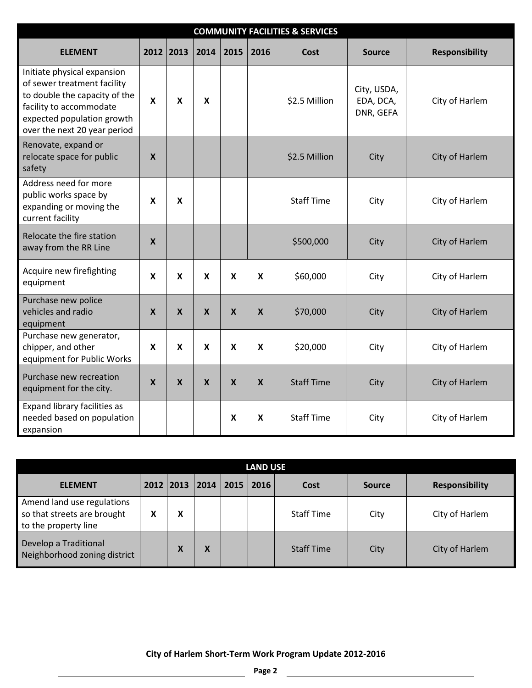| <b>COMMUNITY FACILITIES &amp; SERVICES</b>                                                                                                                                           |                                                                                               |                           |                           |                           |                           |                   |                                       |                |  |  |  |  |  |
|--------------------------------------------------------------------------------------------------------------------------------------------------------------------------------------|-----------------------------------------------------------------------------------------------|---------------------------|---------------------------|---------------------------|---------------------------|-------------------|---------------------------------------|----------------|--|--|--|--|--|
| <b>ELEMENT</b>                                                                                                                                                                       | 2012<br>2013<br>2014<br>2015<br>2016<br><b>Responsibility</b><br><b>Cost</b><br><b>Source</b> |                           |                           |                           |                           |                   |                                       |                |  |  |  |  |  |
| Initiate physical expansion<br>of sewer treatment facility<br>to double the capacity of the<br>facility to accommodate<br>expected population growth<br>over the next 20 year period | $\mathbf x$                                                                                   | $\boldsymbol{\mathsf{X}}$ | $\boldsymbol{\mathsf{x}}$ |                           |                           | \$2.5 Million     | City, USDA,<br>EDA, DCA,<br>DNR, GEFA | City of Harlem |  |  |  |  |  |
| Renovate, expand or<br>relocate space for public<br>safety                                                                                                                           | $\boldsymbol{\mathsf{X}}$                                                                     |                           |                           |                           |                           | \$2.5 Million     | City                                  | City of Harlem |  |  |  |  |  |
| Address need for more<br>public works space by<br>expanding or moving the<br>current facility                                                                                        | $\boldsymbol{\mathsf{x}}$                                                                     | $\boldsymbol{\mathsf{x}}$ |                           |                           |                           | <b>Staff Time</b> | City                                  | City of Harlem |  |  |  |  |  |
| Relocate the fire station<br>away from the RR Line                                                                                                                                   | $\boldsymbol{\mathsf{X}}$                                                                     |                           |                           |                           |                           | \$500,000         | City                                  | City of Harlem |  |  |  |  |  |
| Acquire new firefighting<br>equipment                                                                                                                                                | $\boldsymbol{\mathsf{x}}$                                                                     | $\boldsymbol{\mathsf{X}}$ | $\boldsymbol{\mathsf{x}}$ | $\boldsymbol{x}$          | $\boldsymbol{\mathsf{x}}$ | \$60,000          | City                                  | City of Harlem |  |  |  |  |  |
| Purchase new police<br>vehicles and radio<br>equipment                                                                                                                               | $\boldsymbol{X}$                                                                              | $\boldsymbol{X}$          | $\boldsymbol{X}$          | $\boldsymbol{X}$          | $\boldsymbol{X}$          | \$70,000          | City                                  | City of Harlem |  |  |  |  |  |
| Purchase new generator,<br>chipper, and other<br>equipment for Public Works                                                                                                          | X                                                                                             | $\boldsymbol{\mathsf{x}}$ | X                         | X                         | X                         | \$20,000          | City                                  | City of Harlem |  |  |  |  |  |
| Purchase new recreation<br>equipment for the city.                                                                                                                                   | $\boldsymbol{\mathsf{X}}$                                                                     | $\boldsymbol{X}$          | $\boldsymbol{X}$          | $\boldsymbol{\mathsf{X}}$ | $\boldsymbol{\mathsf{X}}$ | <b>Staff Time</b> | City                                  | City of Harlem |  |  |  |  |  |
| Expand library facilities as<br>needed based on population<br>expansion                                                                                                              |                                                                                               |                           |                           | $\boldsymbol{\mathsf{x}}$ | X                         | <b>Staff Time</b> | City                                  | City of Harlem |  |  |  |  |  |

| LAND USE                                                                          |   |                 |                |      |      |                   |               |                       |  |  |  |
|-----------------------------------------------------------------------------------|---|-----------------|----------------|------|------|-------------------|---------------|-----------------------|--|--|--|
| <b>ELEMENT</b>                                                                    |   |                 | 2012 2013 2014 | 2015 | 2016 | Cost              | <b>Source</b> | <b>Responsibility</b> |  |  |  |
| Amend land use regulations<br>so that streets are brought<br>to the property line | Χ | χ               |                |      |      | <b>Staff Time</b> | City          | City of Harlem        |  |  |  |
| Develop a Traditional<br>Neighborhood zoning district                             |   | v<br>$\sqrt{ }$ | X              |      |      | <b>Staff Time</b> | City          | City of Harlem        |  |  |  |

**City of Harlem Short-Term Work Program Update 2012-2016**

<u> 1989 - Johann Stoff, fransk politik (d. 19</u>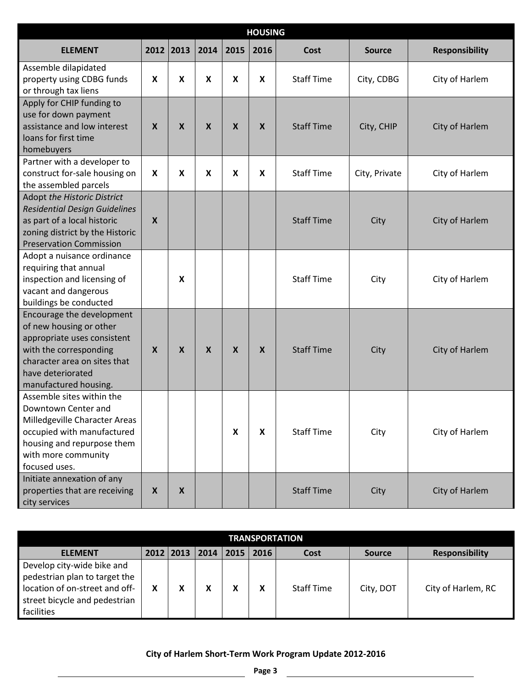| <b>HOUSING</b>                                                                                                                                                                              |                  |                           |                           |                  |                  |                   |               |                       |  |  |  |
|---------------------------------------------------------------------------------------------------------------------------------------------------------------------------------------------|------------------|---------------------------|---------------------------|------------------|------------------|-------------------|---------------|-----------------------|--|--|--|
| <b>ELEMENT</b>                                                                                                                                                                              | 2012             | 2013                      | 2014                      | 2015             | 2016             | <b>Cost</b>       | <b>Source</b> | <b>Responsibility</b> |  |  |  |
| Assemble dilapidated<br>property using CDBG funds<br>or through tax liens                                                                                                                   | X                | $\boldsymbol{\mathsf{X}}$ | $\boldsymbol{x}$          | X                | X                | <b>Staff Time</b> | City, CDBG    | City of Harlem        |  |  |  |
| Apply for CHIP funding to<br>use for down payment<br>assistance and low interest<br>loans for first time<br>homebuyers                                                                      | $\boldsymbol{X}$ | $\boldsymbol{\mathsf{X}}$ | $\boldsymbol{X}$          | $\boldsymbol{X}$ | $\boldsymbol{X}$ | <b>Staff Time</b> | City, CHIP    | City of Harlem        |  |  |  |
| Partner with a developer to<br>construct for-sale housing on<br>the assembled parcels                                                                                                       | $\boldsymbol{x}$ | $\boldsymbol{\mathsf{X}}$ | $\boldsymbol{\mathsf{x}}$ | X                | X                | <b>Staff Time</b> | City, Private | City of Harlem        |  |  |  |
| Adopt the Historic District<br><b>Residential Design Guidelines</b><br>as part of a local historic<br>zoning district by the Historic<br><b>Preservation Commission</b>                     | $\boldsymbol{X}$ |                           |                           |                  |                  | <b>Staff Time</b> | City          | City of Harlem        |  |  |  |
| Adopt a nuisance ordinance<br>requiring that annual<br>inspection and licensing of<br>vacant and dangerous<br>buildings be conducted                                                        |                  | X                         |                           |                  |                  | <b>Staff Time</b> | City          | City of Harlem        |  |  |  |
| Encourage the development<br>of new housing or other<br>appropriate uses consistent<br>with the corresponding<br>character area on sites that<br>have deteriorated<br>manufactured housing. | X                | $\boldsymbol{X}$          | $\boldsymbol{X}$          | $\boldsymbol{X}$ | $\boldsymbol{X}$ | <b>Staff Time</b> | City          | City of Harlem        |  |  |  |
| Assemble sites within the<br>Downtown Center and<br>Milledgeville Character Areas<br>occupied with manufactured<br>housing and repurpose them<br>with more community<br>focused uses.       |                  |                           |                           | X                | X                | <b>Staff Time</b> | City          | City of Harlem        |  |  |  |
| Initiate annexation of any<br>properties that are receiving<br>city services                                                                                                                | $\boldsymbol{X}$ | $\boldsymbol{X}$          |                           |                  |                  | <b>Staff Time</b> | City          | City of Harlem        |  |  |  |

| <b>TRANSPORTATION</b>                                                                                                                        |   |  |   |  |  |                   |           |                    |  |  |  |
|----------------------------------------------------------------------------------------------------------------------------------------------|---|--|---|--|--|-------------------|-----------|--------------------|--|--|--|
| 2012 2013<br> 2014<br>2016<br>2015<br><b>ELEMENT</b><br><b>Responsibility</b><br>Cost<br><b>Source</b>                                       |   |  |   |  |  |                   |           |                    |  |  |  |
| Develop city-wide bike and<br>pedestrian plan to target the<br>location of on-street and off-<br>street bicycle and pedestrian<br>facilities | X |  | χ |  |  | <b>Staff Time</b> | City, DOT | City of Harlem, RC |  |  |  |

 $\mathbf{r}$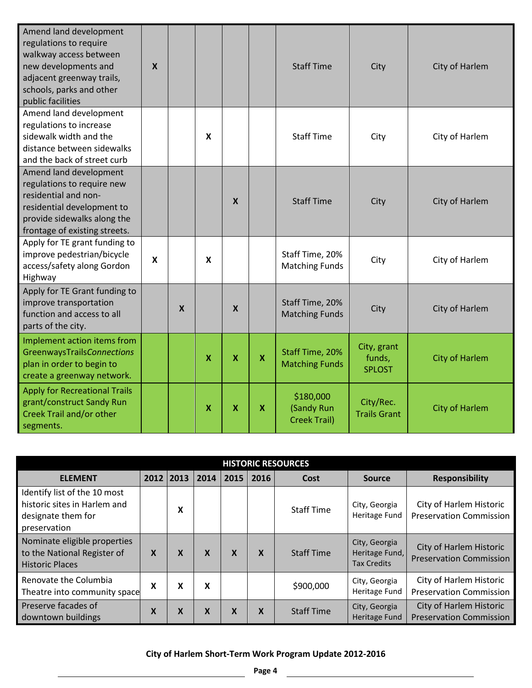| Amend land development<br>regulations to require<br>walkway access between<br>new developments and<br>adjacent greenway trails,<br>schools, parks and other<br>public facilities | $\boldsymbol{X}$          |   |                           |                           |                           | <b>Staff Time</b>                              | City                                   | City of Harlem        |
|----------------------------------------------------------------------------------------------------------------------------------------------------------------------------------|---------------------------|---|---------------------------|---------------------------|---------------------------|------------------------------------------------|----------------------------------------|-----------------------|
| Amend land development<br>regulations to increase<br>sidewalk width and the<br>distance between sidewalks<br>and the back of street curb                                         |                           |   | $\boldsymbol{x}$          |                           |                           | <b>Staff Time</b>                              | City                                   | City of Harlem        |
| Amend land development<br>regulations to require new<br>residential and non-<br>residential development to<br>provide sidewalks along the<br>frontage of existing streets.       |                           |   |                           | $\boldsymbol{\mathsf{X}}$ |                           | <b>Staff Time</b>                              | City                                   | City of Harlem        |
| Apply for TE grant funding to<br>improve pedestrian/bicycle<br>access/safety along Gordon<br>Highway                                                                             | $\boldsymbol{\mathsf{x}}$ |   | X                         |                           |                           | Staff Time, 20%<br><b>Matching Funds</b>       | City                                   | City of Harlem        |
| Apply for TE Grant funding to<br>improve transportation<br>function and access to all<br>parts of the city.                                                                      |                           | X |                           | $\boldsymbol{\mathsf{X}}$ |                           | Staff Time, 20%<br><b>Matching Funds</b>       | City                                   | City of Harlem        |
| Implement action items from<br><b>GreenwaysTrailsConnections</b><br>plan in order to begin to<br>create a greenway network.                                                      |                           |   | $\boldsymbol{\mathsf{x}}$ | $\boldsymbol{\mathsf{x}}$ | $\mathbf x$               | Staff Time, 20%<br><b>Matching Funds</b>       | City, grant<br>funds,<br><b>SPLOST</b> | <b>City of Harlem</b> |
| <b>Apply for Recreational Trails</b><br>grant/construct Sandy Run<br>Creek Trail and/or other<br>segments.                                                                       |                           |   | $\mathsf{x}$              | $\boldsymbol{\mathsf{x}}$ | $\boldsymbol{\mathsf{X}}$ | \$180,000<br>(Sandy Run<br><b>Creek Trail)</b> | City/Rec.<br><b>Trails Grant</b>       | <b>City of Harlem</b> |

| <b>HISTORIC RESOURCES</b>                                                                          |                                                                                     |   |   |                           |   |                   |                                                       |                                                           |  |  |  |  |
|----------------------------------------------------------------------------------------------------|-------------------------------------------------------------------------------------|---|---|---------------------------|---|-------------------|-------------------------------------------------------|-----------------------------------------------------------|--|--|--|--|
| <b>ELEMENT</b>                                                                                     | 2016<br>2012 2013<br><b>Responsibility</b><br>2014<br>2015<br>Cost<br><b>Source</b> |   |   |                           |   |                   |                                                       |                                                           |  |  |  |  |
| Identify list of the 10 most<br>historic sites in Harlem and<br>designate them for<br>preservation |                                                                                     | X |   |                           |   | <b>Staff Time</b> | City, Georgia<br>Heritage Fund                        | City of Harlem Historic<br><b>Preservation Commission</b> |  |  |  |  |
| Nominate eligible properties<br>to the National Register of<br><b>Historic Places</b>              | X                                                                                   | X | X | $\boldsymbol{\mathsf{X}}$ | X | <b>Staff Time</b> | City, Georgia<br>Heritage Fund,<br><b>Tax Credits</b> | City of Harlem Historic<br><b>Preservation Commission</b> |  |  |  |  |
| Renovate the Columbia<br>Theatre into community space                                              | X                                                                                   | X | X |                           |   | \$900,000         | City, Georgia<br>Heritage Fund                        | City of Harlem Historic<br><b>Preservation Commission</b> |  |  |  |  |
| Preserve facades of<br>downtown buildings                                                          | X                                                                                   | X | X | X                         | X | <b>Staff Time</b> | City, Georgia<br>Heritage Fund                        | City of Harlem Historic<br><b>Preservation Commission</b> |  |  |  |  |

#### **City of Harlem Short-Term Work Program Update 2012-2016**

 $\mathbf{r}$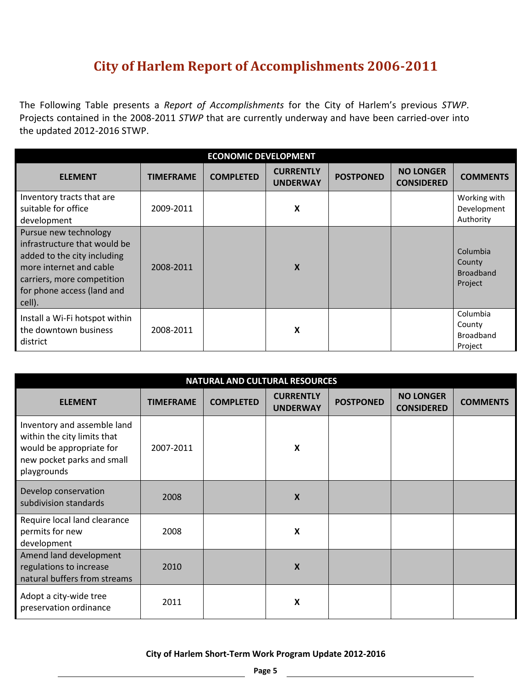### **City of Harlem Report of Accomplishments 2006-2011**

The Following Table presents a *Report of Accomplishments* for the City of Harlem's previous *STWP*. Projects contained in the 2008-2011 *STWP* that are currently underway and have been carried-over into the updated 2012-2016 STWP.

| <b>ECONOMIC DEVELOPMENT</b>                                                                                                                                                           |                  |                  |                                     |                  |                                       |                                                   |  |  |  |  |
|---------------------------------------------------------------------------------------------------------------------------------------------------------------------------------------|------------------|------------------|-------------------------------------|------------------|---------------------------------------|---------------------------------------------------|--|--|--|--|
| <b>ELEMENT</b>                                                                                                                                                                        | <b>TIMEFRAME</b> | <b>COMPLETED</b> | <b>CURRENTLY</b><br><b>UNDERWAY</b> | <b>POSTPONED</b> | <b>NO LONGER</b><br><b>CONSIDERED</b> | <b>COMMENTS</b>                                   |  |  |  |  |
| Inventory tracts that are<br>suitable for office<br>development                                                                                                                       | 2009-2011        |                  | X                                   |                  |                                       | Working with<br>Development<br>Authority          |  |  |  |  |
| Pursue new technology<br>infrastructure that would be<br>added to the city including<br>more internet and cable<br>carriers, more competition<br>for phone access (land and<br>cell). | 2008-2011        |                  | X                                   |                  |                                       | Columbia<br>County<br><b>Broadband</b><br>Project |  |  |  |  |
| Install a Wi-Fi hotspot within<br>the downtown business<br>district                                                                                                                   | 2008-2011        |                  | X                                   |                  |                                       | Columbia<br>County<br><b>Broadband</b><br>Project |  |  |  |  |

| <b>NATURAL AND CULTURAL RESOURCES</b>                                                                                               |                  |                  |                                     |                  |                                       |                 |  |  |  |  |  |  |
|-------------------------------------------------------------------------------------------------------------------------------------|------------------|------------------|-------------------------------------|------------------|---------------------------------------|-----------------|--|--|--|--|--|--|
| <b>ELEMENT</b>                                                                                                                      | <b>TIMEFRAME</b> | <b>COMPLETED</b> | <b>CURRENTLY</b><br><b>UNDERWAY</b> | <b>POSTPONED</b> | <b>NO LONGER</b><br><b>CONSIDERED</b> | <b>COMMENTS</b> |  |  |  |  |  |  |
| Inventory and assemble land<br>within the city limits that<br>would be appropriate for<br>new pocket parks and small<br>playgrounds | 2007-2011        |                  | X                                   |                  |                                       |                 |  |  |  |  |  |  |
| Develop conservation<br>subdivision standards                                                                                       | 2008             |                  | X                                   |                  |                                       |                 |  |  |  |  |  |  |
| Require local land clearance<br>permits for new<br>development                                                                      | 2008             |                  | X                                   |                  |                                       |                 |  |  |  |  |  |  |
| Amend land development<br>regulations to increase<br>natural buffers from streams                                                   | 2010             |                  | X                                   |                  |                                       |                 |  |  |  |  |  |  |
| Adopt a city-wide tree<br>preservation ordinance                                                                                    | 2011             |                  | X                                   |                  |                                       |                 |  |  |  |  |  |  |

<u> 1989 - Johann Stoff, deutscher Stoffen und der Stoffen und der Stoffen und der Stoffen und der Stoffen und der</u>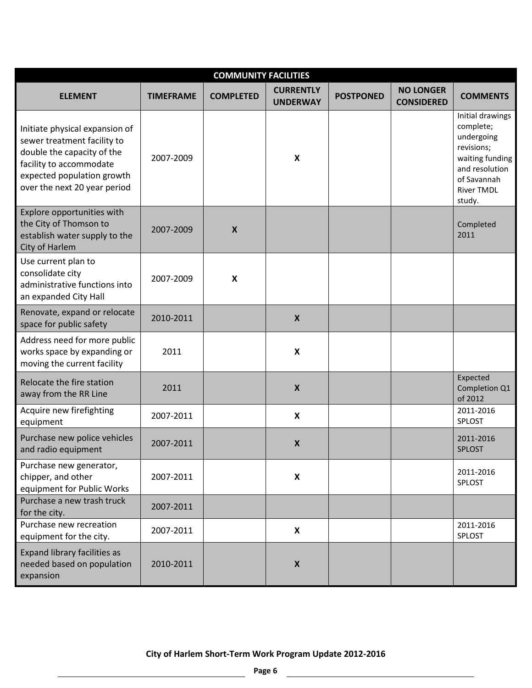| <b>COMMUNITY FACILITIES</b>                                                                                                                                                          |                  |                           |                                     |                  |                                       |                                                                                                                                              |  |  |  |  |  |
|--------------------------------------------------------------------------------------------------------------------------------------------------------------------------------------|------------------|---------------------------|-------------------------------------|------------------|---------------------------------------|----------------------------------------------------------------------------------------------------------------------------------------------|--|--|--|--|--|
| <b>ELEMENT</b>                                                                                                                                                                       | <b>TIMEFRAME</b> | <b>COMPLETED</b>          | <b>CURRENTLY</b><br><b>UNDERWAY</b> | <b>POSTPONED</b> | <b>NO LONGER</b><br><b>CONSIDERED</b> | <b>COMMENTS</b>                                                                                                                              |  |  |  |  |  |
| Initiate physical expansion of<br>sewer treatment facility to<br>double the capacity of the<br>facility to accommodate<br>expected population growth<br>over the next 20 year period | 2007-2009        |                           | $\boldsymbol{\mathsf{X}}$           |                  |                                       | Initial drawings<br>complete;<br>undergoing<br>revisions;<br>waiting funding<br>and resolution<br>of Savannah<br><b>River TMDL</b><br>study. |  |  |  |  |  |
| Explore opportunities with<br>the City of Thomson to<br>establish water supply to the<br>City of Harlem                                                                              | 2007-2009        | $\boldsymbol{\mathsf{X}}$ |                                     |                  |                                       | Completed<br>2011                                                                                                                            |  |  |  |  |  |
| Use current plan to<br>consolidate city<br>administrative functions into<br>an expanded City Hall                                                                                    | 2007-2009        | $\boldsymbol{\mathsf{x}}$ |                                     |                  |                                       |                                                                                                                                              |  |  |  |  |  |
| Renovate, expand or relocate<br>space for public safety                                                                                                                              | 2010-2011        |                           | $\boldsymbol{X}$                    |                  |                                       |                                                                                                                                              |  |  |  |  |  |
| Address need for more public<br>works space by expanding or<br>moving the current facility                                                                                           | 2011             |                           | $\boldsymbol{\mathsf{X}}$           |                  |                                       |                                                                                                                                              |  |  |  |  |  |
| Relocate the fire station<br>away from the RR Line                                                                                                                                   | 2011             |                           | $\boldsymbol{X}$                    |                  |                                       | Expected<br>Completion Q1<br>of 2012                                                                                                         |  |  |  |  |  |
| Acquire new firefighting<br>equipment                                                                                                                                                | 2007-2011        |                           | $\boldsymbol{\mathsf{X}}$           |                  |                                       | 2011-2016<br>SPLOST                                                                                                                          |  |  |  |  |  |
| Purchase new police vehicles<br>and radio equipment                                                                                                                                  | 2007-2011        |                           | $\boldsymbol{X}$                    |                  |                                       | 2011-2016<br><b>SPLOST</b>                                                                                                                   |  |  |  |  |  |
| Purchase new generator,<br>chipper, and other<br>equipment for Public Works                                                                                                          | 2007-2011        |                           | $\boldsymbol{\mathsf{X}}$           |                  |                                       | 2011-2016<br>SPLOST                                                                                                                          |  |  |  |  |  |
| Purchase a new trash truck<br>for the city.                                                                                                                                          | 2007-2011        |                           |                                     |                  |                                       |                                                                                                                                              |  |  |  |  |  |
| Purchase new recreation<br>equipment for the city.                                                                                                                                   | 2007-2011        |                           | X                                   |                  |                                       | 2011-2016<br>SPLOST                                                                                                                          |  |  |  |  |  |
| Expand library facilities as<br>needed based on population<br>expansion                                                                                                              | 2010-2011        |                           | $\boldsymbol{X}$                    |                  |                                       |                                                                                                                                              |  |  |  |  |  |

 $\overline{a}$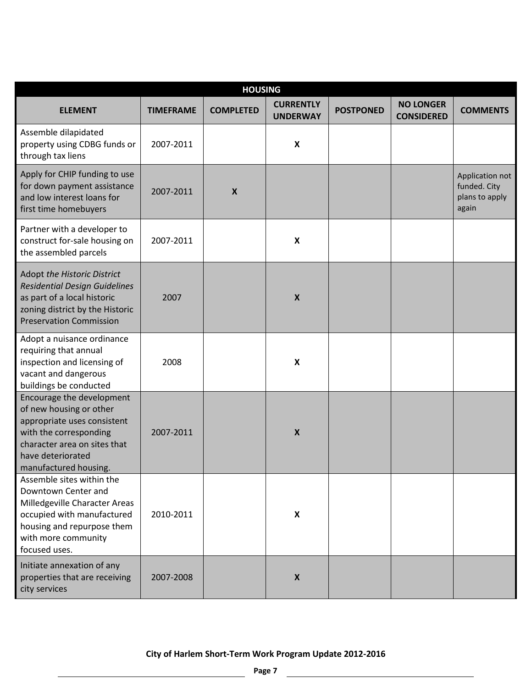| <b>HOUSING</b>                                                                                                                                                                              |                  |                  |                                     |                  |                                       |                                                            |  |  |  |  |  |
|---------------------------------------------------------------------------------------------------------------------------------------------------------------------------------------------|------------------|------------------|-------------------------------------|------------------|---------------------------------------|------------------------------------------------------------|--|--|--|--|--|
| <b>ELEMENT</b>                                                                                                                                                                              | <b>TIMEFRAME</b> | <b>COMPLETED</b> | <b>CURRENTLY</b><br><b>UNDERWAY</b> | <b>POSTPONED</b> | <b>NO LONGER</b><br><b>CONSIDERED</b> | <b>COMMENTS</b>                                            |  |  |  |  |  |
| Assemble dilapidated<br>property using CDBG funds or<br>through tax liens                                                                                                                   | 2007-2011        |                  | $\pmb{\mathsf{x}}$                  |                  |                                       |                                                            |  |  |  |  |  |
| Apply for CHIP funding to use<br>for down payment assistance<br>and low interest loans for<br>first time homebuyers                                                                         | 2007-2011        | $\boldsymbol{X}$ |                                     |                  |                                       | Application not<br>funded. City<br>plans to apply<br>again |  |  |  |  |  |
| Partner with a developer to<br>construct for-sale housing on<br>the assembled parcels                                                                                                       | 2007-2011        |                  | $\pmb{\mathsf{x}}$                  |                  |                                       |                                                            |  |  |  |  |  |
| Adopt the Historic District<br><b>Residential Design Guidelines</b><br>as part of a local historic<br>zoning district by the Historic<br><b>Preservation Commission</b>                     | 2007             |                  | $\pmb{\mathsf{X}}$                  |                  |                                       |                                                            |  |  |  |  |  |
| Adopt a nuisance ordinance<br>requiring that annual<br>inspection and licensing of<br>vacant and dangerous<br>buildings be conducted                                                        | 2008             |                  | $\pmb{\mathsf{x}}$                  |                  |                                       |                                                            |  |  |  |  |  |
| Encourage the development<br>of new housing or other<br>appropriate uses consistent<br>with the corresponding<br>character area on sites that<br>have deteriorated<br>manufactured housing. | 2007-2011        |                  | $\boldsymbol{X}$                    |                  |                                       |                                                            |  |  |  |  |  |
| Assemble sites within the<br>Downtown Center and<br>Milledgeville Character Areas<br>occupied with manufactured<br>housing and repurpose them<br>with more community<br>focused uses.       | 2010-2011        |                  | X                                   |                  |                                       |                                                            |  |  |  |  |  |
| Initiate annexation of any<br>properties that are receiving<br>city services                                                                                                                | 2007-2008        |                  | $\boldsymbol{x}$                    |                  |                                       |                                                            |  |  |  |  |  |

 $\overline{a}$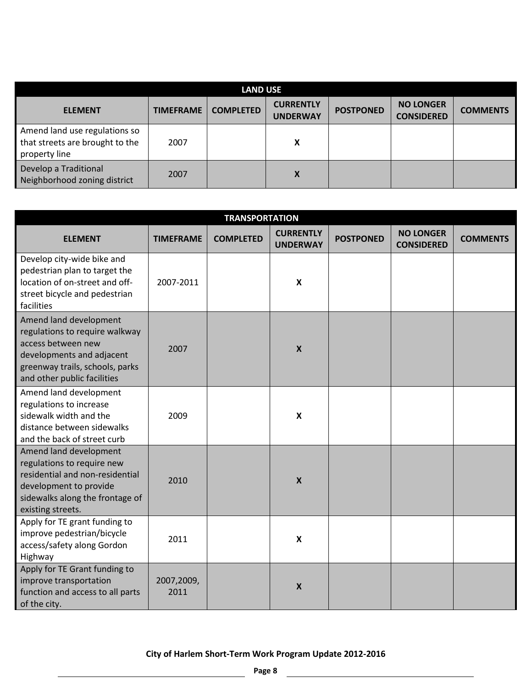| <b>LAND USE</b>                                                                   |                  |                  |                                     |                  |                                       |                 |  |  |
|-----------------------------------------------------------------------------------|------------------|------------------|-------------------------------------|------------------|---------------------------------------|-----------------|--|--|
| <b>ELEMENT</b>                                                                    | <b>TIMEFRAME</b> | <b>COMPLETED</b> | <b>CURRENTLY</b><br><b>UNDERWAY</b> | <b>POSTPONED</b> | <b>NO LONGER</b><br><b>CONSIDERED</b> | <b>COMMENTS</b> |  |  |
| Amend land use regulations so<br>that streets are brought to the<br>property line | 2007             |                  | X                                   |                  |                                       |                 |  |  |
| Develop a Traditional<br>Neighborhood zoning district                             | 2007             |                  | X                                   |                  |                                       |                 |  |  |

| <b>TRANSPORTATION</b>                                                                                                                                                         |                    |                  |                                     |                  |                                       |                 |  |
|-------------------------------------------------------------------------------------------------------------------------------------------------------------------------------|--------------------|------------------|-------------------------------------|------------------|---------------------------------------|-----------------|--|
| <b>ELEMENT</b>                                                                                                                                                                | <b>TIMEFRAME</b>   | <b>COMPLETED</b> | <b>CURRENTLY</b><br><b>UNDERWAY</b> | <b>POSTPONED</b> | <b>NO LONGER</b><br><b>CONSIDERED</b> | <b>COMMENTS</b> |  |
| Develop city-wide bike and<br>pedestrian plan to target the<br>location of on-street and off-<br>street bicycle and pedestrian<br>facilities                                  | 2007-2011          |                  | $\mathbf{x}$                        |                  |                                       |                 |  |
| Amend land development<br>regulations to require walkway<br>access between new<br>developments and adjacent<br>greenway trails, schools, parks<br>and other public facilities | 2007               |                  | $\boldsymbol{\mathsf{X}}$           |                  |                                       |                 |  |
| Amend land development<br>regulations to increase<br>sidewalk width and the<br>distance between sidewalks<br>and the back of street curb                                      | 2009               |                  | $\boldsymbol{x}$                    |                  |                                       |                 |  |
| Amend land development<br>regulations to require new<br>residential and non-residential<br>development to provide<br>sidewalks along the frontage of<br>existing streets.     | 2010               |                  | $\boldsymbol{X}$                    |                  |                                       |                 |  |
| Apply for TE grant funding to<br>improve pedestrian/bicycle<br>access/safety along Gordon<br>Highway                                                                          | 2011               |                  | $\boldsymbol{x}$                    |                  |                                       |                 |  |
| Apply for TE Grant funding to<br>improve transportation<br>function and access to all parts<br>of the city.                                                                   | 2007,2009,<br>2011 |                  | $\boldsymbol{\mathsf{X}}$           |                  |                                       |                 |  |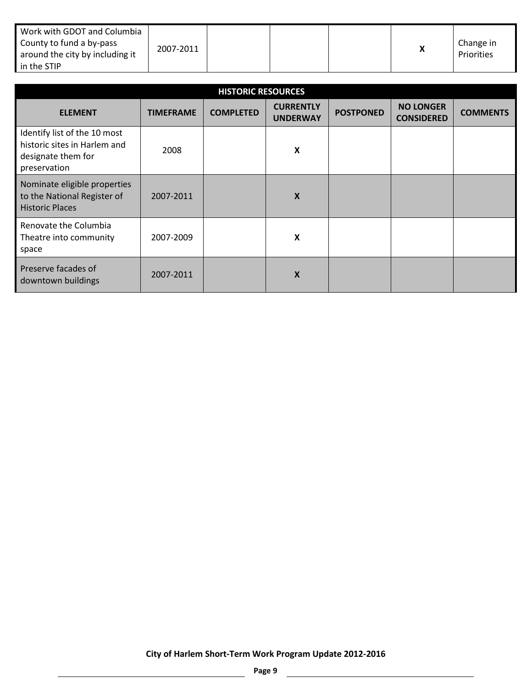| Work with GDOT and Columbia<br>County to fund a by-pass<br>around the city by including it<br>in the STIP | 2007-2011 |  |  |  |  | Change in<br>Priorities |
|-----------------------------------------------------------------------------------------------------------|-----------|--|--|--|--|-------------------------|
|-----------------------------------------------------------------------------------------------------------|-----------|--|--|--|--|-------------------------|

| <b>HISTORIC RESOURCES</b>                                                                          |                  |                  |                                     |                  |                                       |                 |  |  |
|----------------------------------------------------------------------------------------------------|------------------|------------------|-------------------------------------|------------------|---------------------------------------|-----------------|--|--|
| <b>ELEMENT</b>                                                                                     | <b>TIMEFRAME</b> | <b>COMPLETED</b> | <b>CURRENTLY</b><br><b>UNDERWAY</b> | <b>POSTPONED</b> | <b>NO LONGER</b><br><b>CONSIDERED</b> | <b>COMMENTS</b> |  |  |
| Identify list of the 10 most<br>historic sites in Harlem and<br>designate them for<br>preservation | 2008             |                  | $\boldsymbol{\mathsf{X}}$           |                  |                                       |                 |  |  |
| Nominate eligible properties<br>to the National Register of<br><b>Historic Places</b>              | 2007-2011        |                  | X                                   |                  |                                       |                 |  |  |
| Renovate the Columbia<br>Theatre into community<br>space                                           | 2007-2009        |                  | X                                   |                  |                                       |                 |  |  |
| Preserve facades of<br>downtown buildings                                                          | 2007-2011        |                  | X                                   |                  |                                       |                 |  |  |